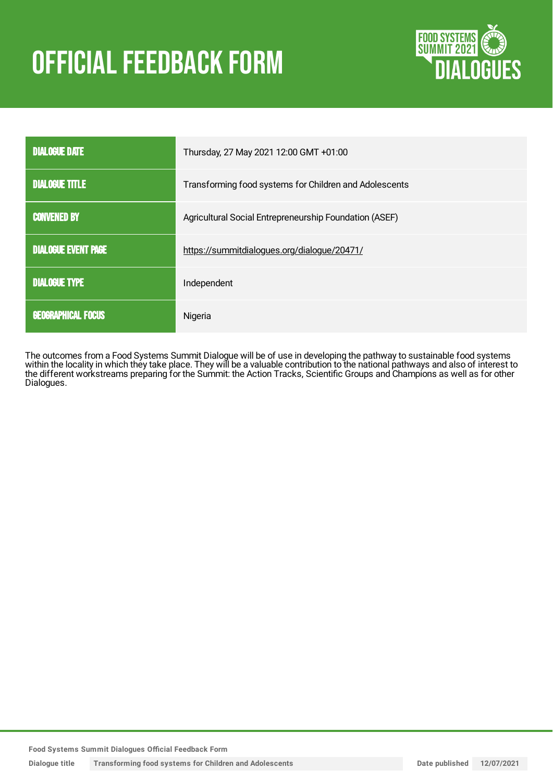# **OFFICIAL FEEDBACK FORM**



| <b>DIALOGUE DATE</b>       | Thursday, 27 May 2021 12:00 GMT +01:00                 |
|----------------------------|--------------------------------------------------------|
| <b>DIALOGUE TITLE</b>      | Transforming food systems for Children and Adolescents |
| <b>CONVENED BY</b>         | Agricultural Social Entrepreneurship Foundation (ASEF) |
| <b>DIALOGUE EVENT PAGE</b> | https://summitdialogues.org/dialogue/20471/            |
| <b>DIALOGUE TYPE</b>       | Independent                                            |
| <b>GEOGRAPHICAL FOCUS</b>  | Nigeria                                                |

The outcomes from a Food Systems Summit Dialogue will be of use in developing the pathway to sustainable food systems within the locality in which they take place. They will be a valuable contribution to the national pathways and also of interest to the different workstreams preparing for the Summit: the Action Tracks, Scientific Groups and Champions as well as for other Dialogues.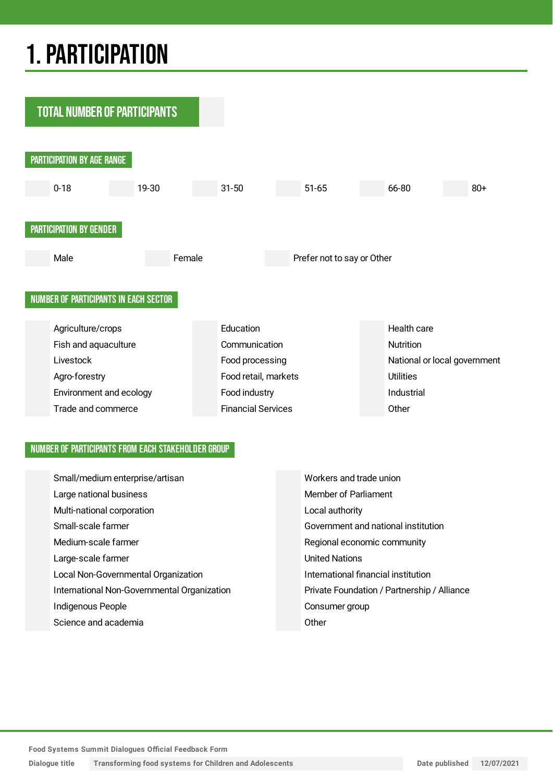## 1.PARTICIPATION



### NUMBER OF PARTICIPANTS FROM EACH STAKEHOLDER GROUP

| Small/medium enterprise/artisan             | Workers and trade union                     |
|---------------------------------------------|---------------------------------------------|
| Large national business                     | Member of Parliament                        |
| Multi-national corporation                  | Local authority                             |
| Small-scale farmer                          | Government and national institution         |
| Medium-scale farmer                         | Regional economic community                 |
| Large-scale farmer                          | <b>United Nations</b>                       |
| Local Non-Governmental Organization         | International financial institution         |
| International Non-Governmental Organization | Private Foundation / Partnership / Alliance |
| Indigenous People                           | Consumer group                              |
| Science and academia                        | Other                                       |

**Dialogue title Transforming food systems for Children and Adolescents Date published 12/07/2021**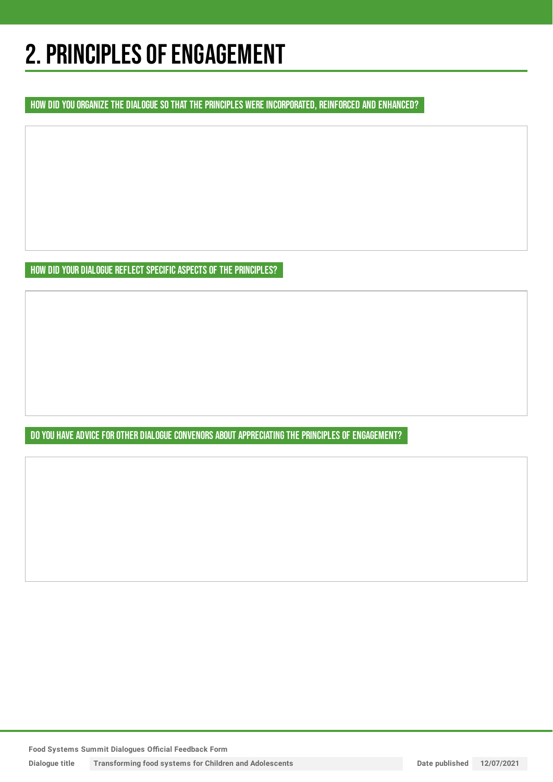## 2. PRINCIPLES OF ENGAGEMENT

HOW DID YOU ORGANIZE THE DIALOGUE SO THAT THE PRINCIPLES WERE INCORPORATED, REINFORCED AND ENHANCED?

HOW DID YOUR DIALOGUE REFLECT SPECIFIC ASPECTS OF THE PRINCIPLES?

DO YOU HAVE ADVICE FOR OTHER DIALOGUE CONVENORS ABOUT APPRECIATING THE PRINCIPLES OF ENGAGEMENT?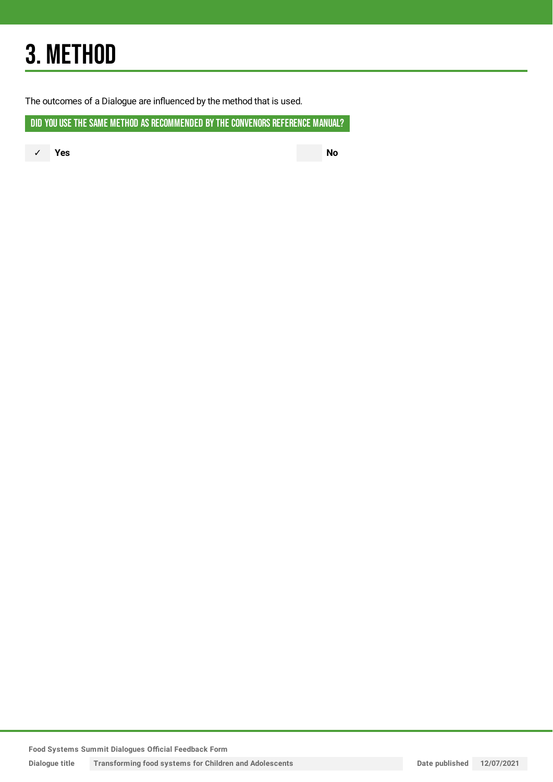## 3. METHOD

The outcomes of a Dialogue are influenced by the method that is used.

DID YOU USE THE SAME METHOD AS RECOMMENDED BY THE CONVENORS REFERENCE MANUAL?

✓ **Yes No**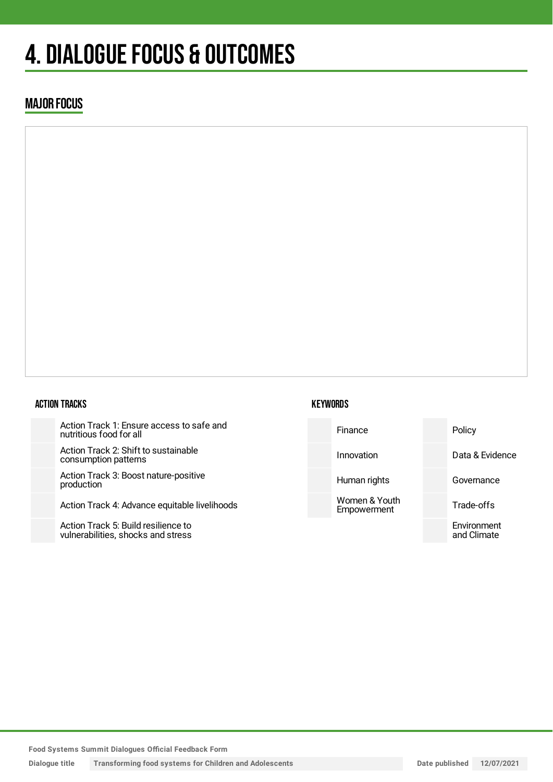## 4. DIALOGUE FOCUS & OUTCOMES

### MAJOR FOCUS

### ACTION TRACKS

Action Track 1: Ensure access to safe and nutritious food for all

Action Track 2: Shift to sustainable consumption patterns

Action Track 3: Boost nature-positive production

Action Track 4: Advance equitable livelihoods

Action Track 5: Build resilience to vulnerabilities, shocks and stress

### **KEYWORDS**

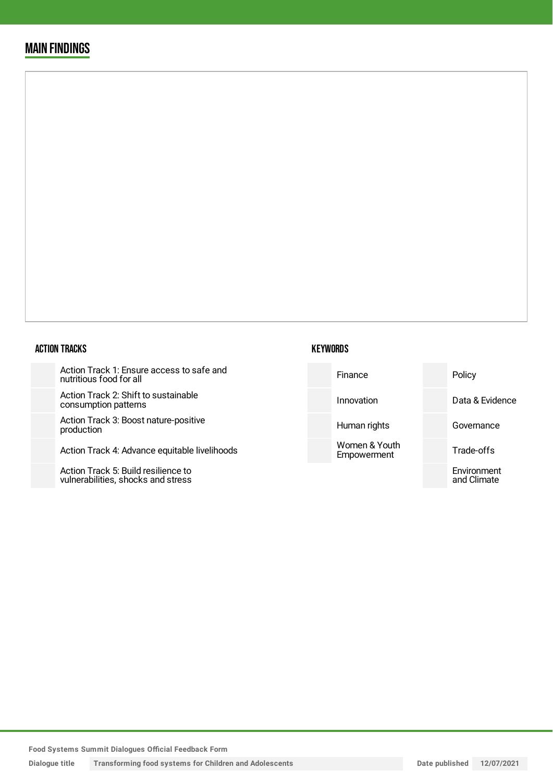### MAIN FINDINGS

#### ACTION TRACKS

Action Track 1: Ensure access to safe and nutritious food for all

Action Track 2: Shift to sustainable consumption patterns

Action Track 3: Boost nature-posit production

Action Track 4: Advance equitable

Action Track 5: Build resilience to vulnerabilities, shocks and stress

| safe and     | Finance                      | Policy                     |
|--------------|------------------------------|----------------------------|
| e            | Innovation                   | Data & Evidence            |
| ive          | Human rights                 | Governance                 |
| livelihoods! | Women & Youth<br>Empowerment | Trade-offs                 |
|              |                              | Environment<br>and Climate |
|              |                              |                            |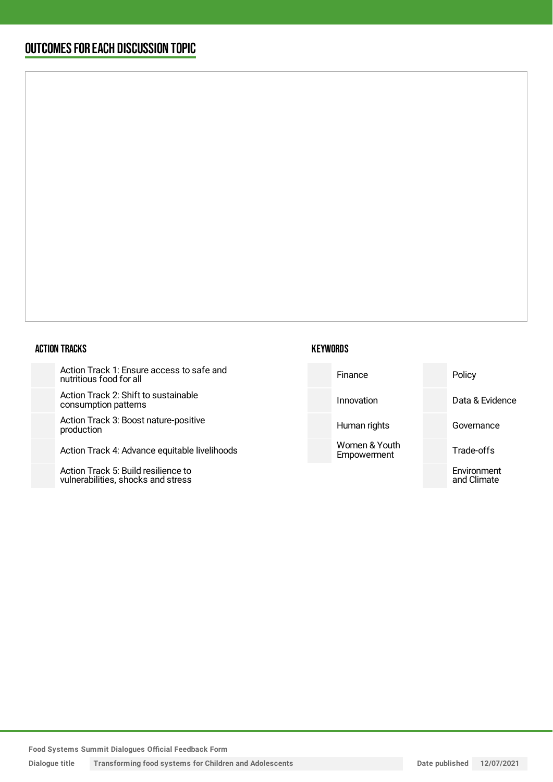## OUTCOMESFOR EACH DISCUSSION TOPIC

#### ACTION TRACKS

Action Track 1: Ensure access to safe and nutritious food for all

Action Track 2: Shift to sustainable consumption patterns

Action Track 3: Boost nature-positiv production

Action Track 4: Advance equitable

Action Track 5: Build resilience to vulnerabilities, shocks and stress

| afe and     | Finance                      | Policy                     |
|-------------|------------------------------|----------------------------|
|             | Innovation                   | Data & Evidence            |
| ve          | Human rights                 | Governance                 |
| livelihoods | Women & Youth<br>Empowerment | Trade-offs                 |
|             |                              | Environment<br>and Climate |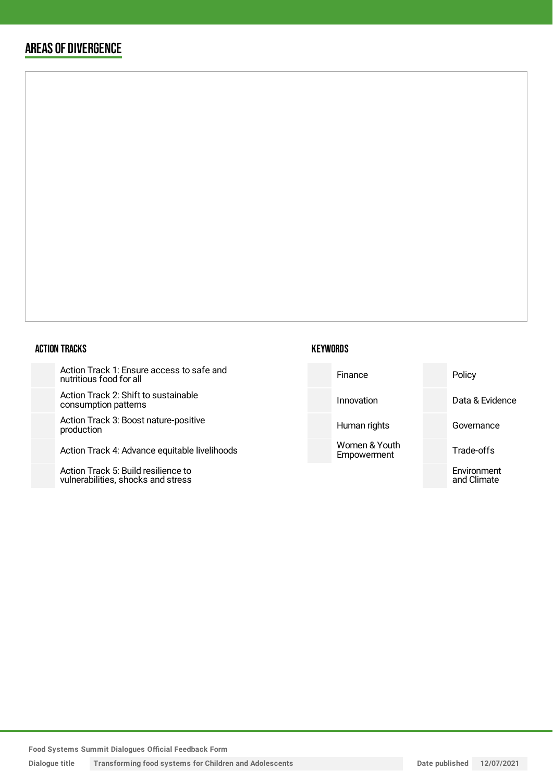## AREAS OF DIVERGENCE

#### ACTION TRACKS

Action Track 1: Ensure access to safe and nutritious food for all

Action Track 2: Shift to sustainable consumption patterns

Action Track 3: Boost nature-positive production

Action Track 4: Advance equitable liv

Action Track 5: Build resilience to vulnerabilities, shocks and stress



| re and    | Finance                      | Policy                     |
|-----------|------------------------------|----------------------------|
|           | Innovation                   | Data & Evidence            |
| e         | Human rights                 | Governance                 |
| velihoods | Women & Youth<br>Empowerment | Trade-offs                 |
|           |                              | Environment<br>and Climate |